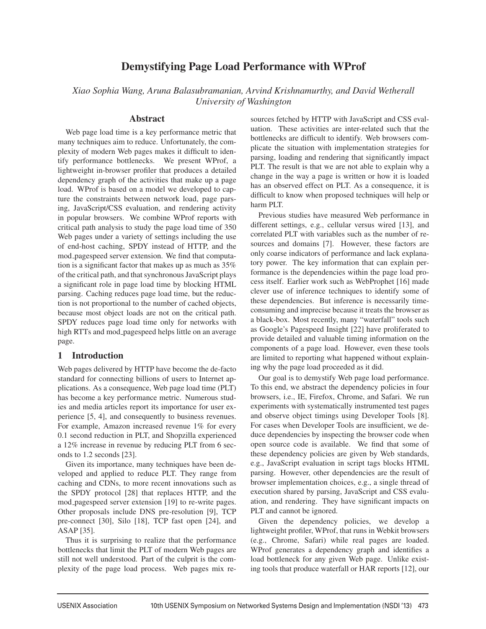# Demystifying Page Load Performance with WProf

*Xiao Sophia Wang, Aruna Balasubramanian, Arvind Krishnamurthy, and David Wetherall University of Washington*

### Abstract

Web page load time is a key performance metric that many techniques aim to reduce. Unfortunately, the complexity of modern Web pages makes it difficult to identify performance bottlenecks. We present WProf, a lightweight in-browser profiler that produces a detailed dependency graph of the activities that make up a page load. WProf is based on a model we developed to capture the constraints between network load, page parsing, JavaScript/CSS evaluation, and rendering activity in popular browsers. We combine WProf reports with critical path analysis to study the page load time of 350 Web pages under a variety of settings including the use of end-host caching, SPDY instead of HTTP, and the mod pagespeed server extension. We find that computation is a significant factor that makes up as much as 35% of the critical path, and that synchronous JavaScript plays a significant role in page load time by blocking HTML parsing. Caching reduces page load time, but the reduction is not proportional to the number of cached objects, because most object loads are not on the critical path. SPDY reduces page load time only for networks with high RTTs and mod pagespeed helps little on an average page.

# 1 Introduction

Web pages delivered by HTTP have become the de-facto standard for connecting billions of users to Internet applications. As a consequence, Web page load time (PLT) has become a key performance metric. Numerous studies and media articles report its importance for user experience [5, 4], and consequently to business revenues. For example, Amazon increased revenue 1% for every 0.1 second reduction in PLT, and Shopzilla experienced a 12% increase in revenue by reducing PLT from 6 seconds to 1.2 seconds [23].

Given its importance, many techniques have been developed and applied to reduce PLT. They range from caching and CDNs, to more recent innovations such as the SPDY protocol [28] that replaces HTTP, and the mod pagespeed server extension [19] to re-write pages. Other proposals include DNS pre-resolution [9], TCP pre-connect [30], Silo [18], TCP fast open [24], and ASAP [35].

Thus it is surprising to realize that the performance bottlenecks that limit the PLT of modern Web pages are still not well understood. Part of the culprit is the complexity of the page load process. Web pages mix resources fetched by HTTP with JavaScript and CSS evaluation. These activities are inter-related such that the bottlenecks are difficult to identify. Web browsers complicate the situation with implementation strategies for parsing, loading and rendering that significantly impact PLT. The result is that we are not able to explain why a change in the way a page is written or how it is loaded has an observed effect on PLT. As a consequence, it is difficult to know when proposed techniques will help or harm PLT.

Previous studies have measured Web performance in different settings, e.g., cellular versus wired [13], and correlated PLT with variables such as the number of resources and domains [7]. However, these factors are only coarse indicators of performance and lack explanatory power. The key information that can explain performance is the dependencies within the page load process itself. Earlier work such as WebProphet [16] made clever use of inference techniques to identify some of these dependencies. But inference is necessarily timeconsuming and imprecise because it treats the browser as a black-box. Most recently, many "waterfall" tools such as Google's Pagespeed Insight [22] have proliferated to provide detailed and valuable timing information on the components of a page load. However, even these tools are limited to reporting what happened without explaining why the page load proceeded as it did.

Our goal is to demystify Web page load performance. To this end, we abstract the dependency policies in four browsers, i.e., IE, Firefox, Chrome, and Safari. We run experiments with systematically instrumented test pages and observe object timings using Developer Tools [8]. For cases when Developer Tools are insufficient, we deduce dependencies by inspecting the browser code when open source code is available. We find that some of these dependency policies are given by Web standards, e.g., JavaScript evaluation in script tags blocks HTML parsing. However, other dependencies are the result of browser implementation choices, e.g., a single thread of execution shared by parsing, JavaScript and CSS evaluation, and rendering. They have significant impacts on PLT and cannot be ignored.

Given the dependency policies, we develop a lightweight profiler, WProf, that runs in Webkit browsers (e.g., Chrome, Safari) while real pages are loaded. WProf generates a dependency graph and identifies a load bottleneck for any given Web page. Unlike existing tools that produce waterfall or HAR reports [12], our

-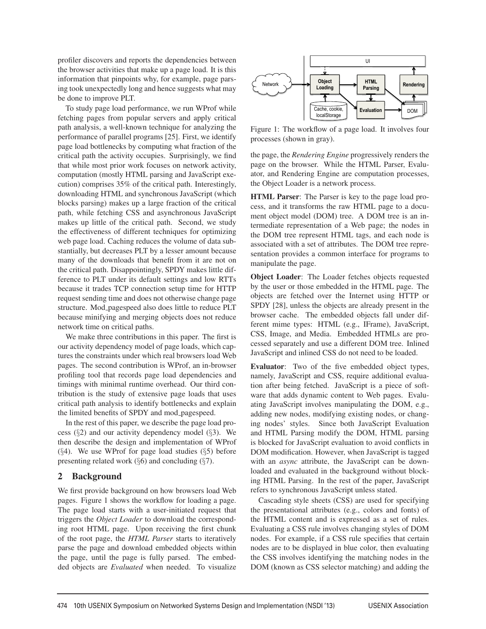profiler discovers and reports the dependencies between the browser activities that make up a page load. It is this information that pinpoints why, for example, page parsing took unexpectedly long and hence suggests what may be done to improve PLT.

To study page load performance, we run WProf while fetching pages from popular servers and apply critical path analysis, a well-known technique for analyzing the performance of parallel programs [25]. First, we identify page load bottlenecks by computing what fraction of the critical path the activity occupies. Surprisingly, we find that while most prior work focuses on network activity, computation (mostly HTML parsing and JavaScript execution) comprises 35% of the critical path. Interestingly, downloading HTML and synchronous JavaScript (which blocks parsing) makes up a large fraction of the critical path, while fetching CSS and asynchronous JavaScript makes up little of the critical path. Second, we study the effectiveness of different techniques for optimizing web page load. Caching reduces the volume of data substantially, but decreases PLT by a lesser amount because many of the downloads that benefit from it are not on the critical path. Disappointingly, SPDY makes little difference to PLT under its default settings and low RTTs because it trades TCP connection setup time for HTTP request sending time and does not otherwise change page structure. Mod pagespeed also does little to reduce PLT because minifying and merging objects does not reduce network time on critical paths.

We make three contributions in this paper. The first is our activity dependency model of page loads, which captures the constraints under which real browsers load Web pages. The second contribution is WProf, an in-browser profiling tool that records page load dependencies and timings with minimal runtime overhead. Our third contribution is the study of extensive page loads that uses critical path analysis to identify bottlenecks and explain the limited benefits of SPDY and mod pagespeed.

In the rest of this paper, we describe the page load process (§2) and our activity dependency model (§3). We then describe the design and implementation of WProf  $(\S4)$ . We use WProf for page load studies  $(\S5)$  before presenting related work  $(\S6)$  and concluding  $(\S7)$ .

# 2 Background

We first provide background on how browsers load Web pages. Figure 1 shows the workflow for loading a page. The page load starts with a user-initiated request that triggers the *Object Loader* to download the corresponding root HTML page. Upon receiving the first chunk of the root page, the *HTML Parser* starts to iteratively parse the page and download embedded objects within the page, until the page is fully parsed. The embedded objects are *Evaluated* when needed. To visualize



Figure 1: The workflow of a page load. It involves four processes (shown in gray).

the page, the *Rendering Engine* progressively renders the page on the browser. While the HTML Parser, Evaluator, and Rendering Engine are computation processes, the Object Loader is a network process.

HTML Parser: The Parser is key to the page load process, and it transforms the raw HTML page to a document object model (DOM) tree. A DOM tree is an intermediate representation of a Web page; the nodes in the DOM tree represent HTML tags, and each node is associated with a set of attributes. The DOM tree representation provides a common interface for programs to manipulate the page.

Object Loader: The Loader fetches objects requested by the user or those embedded in the HTML page. The objects are fetched over the Internet using HTTP or SPDY [28], unless the objects are already present in the browser cache. The embedded objects fall under different mime types: HTML (e.g., IFrame), JavaScript, CSS, Image, and Media. Embedded HTMLs are processed separately and use a different DOM tree. Inlined JavaScript and inlined CSS do not need to be loaded.

Evaluator: Two of the five embedded object types, namely, JavaScript and CSS, require additional evaluation after being fetched. JavaScript is a piece of software that adds dynamic content to Web pages. Evaluating JavaScript involves manipulating the DOM, e.g., adding new nodes, modifying existing nodes, or changing nodes' styles. Since both JavaScript Evaluation and HTML Parsing modify the DOM, HTML parsing is blocked for JavaScript evaluation to avoid conflicts in DOM modification. However, when JavaScript is tagged with an *async* attribute, the JavaScript can be downloaded and evaluated in the background without blocking HTML Parsing. In the rest of the paper, JavaScript refers to synchronous JavaScript unless stated.

Cascading style sheets (CSS) are used for specifying the presentational attributes (e.g., colors and fonts) of the HTML content and is expressed as a set of rules. Evaluating a CSS rule involves changing styles of DOM nodes. For example, if a CSS rule specifies that certain nodes are to be displayed in blue color, then evaluating the CSS involves identifying the matching nodes in the DOM (known as CSS selector matching) and adding the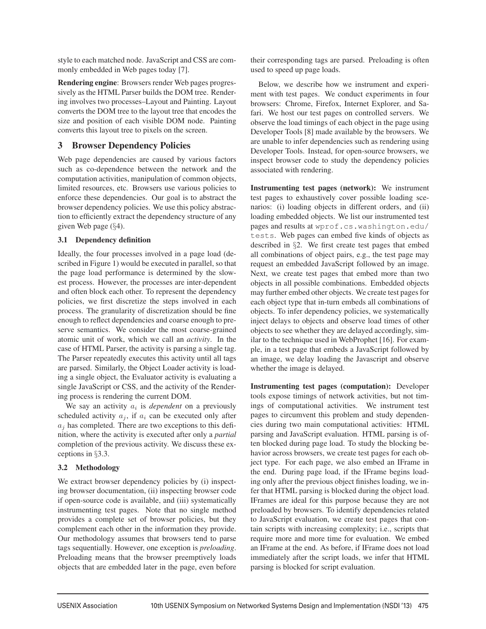style to each matched node. JavaScript and CSS are commonly embedded in Web pages today [7].

Rendering engine: Browsers render Web pages progressively as the HTML Parser builds the DOM tree. Rendering involves two processes–Layout and Painting. Layout converts the DOM tree to the layout tree that encodes the size and position of each visible DOM node. Painting converts this layout tree to pixels on the screen.

# 3 Browser Dependency Policies

Web page dependencies are caused by various factors such as co-dependence between the network and the computation activities, manipulation of common objects, limited resources, etc. Browsers use various policies to enforce these dependencies. Our goal is to abstract the browser dependency policies. We use this policy abstraction to efficiently extract the dependency structure of any given Web page (§4).

### 3.1 Dependency definition

Ideally, the four processes involved in a page load (described in Figure 1) would be executed in parallel, so that the page load performance is determined by the slowest process. However, the processes are inter-dependent and often block each other. To represent the dependency policies, we first discretize the steps involved in each process. The granularity of discretization should be fine enough to reflect dependencies and coarse enough to preserve semantics. We consider the most coarse-grained atomic unit of work, which we call an *activity*. In the case of HTML Parser, the activity is parsing a single tag. The Parser repeatedly executes this activity until all tags are parsed. Similarly, the Object Loader activity is loading a single object, the Evaluator activity is evaluating a single JavaScript or CSS, and the activity of the Rendering process is rendering the current DOM.

We say an activity a*<sup>i</sup>* is *dependent* on a previously scheduled activity  $a_i$ , if  $a_i$  can be executed only after  $a_i$  has completed. There are two exceptions to this definition, where the activity is executed after only a *partial* completion of the previous activity. We discuss these exceptions in §3.3.

# 3.2 Methodology

We extract browser dependency policies by (i) inspecting browser documentation, (ii) inspecting browser code if open-source code is available, and (iii) systematically instrumenting test pages. Note that no single method provides a complete set of browser policies, but they complement each other in the information they provide. Our methodology assumes that browsers tend to parse tags sequentially. However, one exception is *preloading*. Preloading means that the browser preemptively loads objects that are embedded later in the page, even before

their corresponding tags are parsed. Preloading is often used to speed up page loads.

Below, we describe how we instrument and experiment with test pages. We conduct experiments in four browsers: Chrome, Firefox, Internet Explorer, and Safari. We host our test pages on controlled servers. We observe the load timings of each object in the page using Developer Tools [8] made available by the browsers. We are unable to infer dependencies such as rendering using Developer Tools. Instead, for open-source browsers, we inspect browser code to study the dependency policies associated with rendering.

Instrumenting test pages (network): We instrument test pages to exhaustively cover possible loading scenarios: (i) loading objects in different orders, and (ii) loading embedded objects. We list our instrumented test pages and results at wprof.cs.washington.edu/ tests. Web pages can embed five kinds of objects as described in §2. We first create test pages that embed all combinations of object pairs, e.g., the test page may request an embedded JavaScript followed by an image. Next, we create test pages that embed more than two objects in all possible combinations. Embedded objects may further embed other objects. We create test pages for each object type that in-turn embeds all combinations of objects. To infer dependency policies, we systematically inject delays to objects and observe load times of other objects to see whether they are delayed accordingly, similar to the technique used in WebProphet [16]. For example, in a test page that embeds a JavaScript followed by an image, we delay loading the Javascript and observe whether the image is delayed.

Instrumenting test pages (computation): Developer tools expose timings of network activities, but not timings of computational activities. We instrument test pages to circumvent this problem and study dependencies during two main computational activities: HTML parsing and JavaScript evaluation. HTML parsing is often blocked during page load. To study the blocking behavior across browsers, we create test pages for each object type. For each page, we also embed an IFrame in the end. During page load, if the IFrame begins loading only after the previous object finishes loading, we infer that HTML parsing is blocked during the object load. IFrames are ideal for this purpose because they are not preloaded by browsers. To identify dependencies related to JavaScript evaluation, we create test pages that contain scripts with increasing complexity; i.e., scripts that require more and more time for evaluation. We embed an IFrame at the end. As before, if IFrame does not load immediately after the script loads, we infer that HTML parsing is blocked for script evaluation.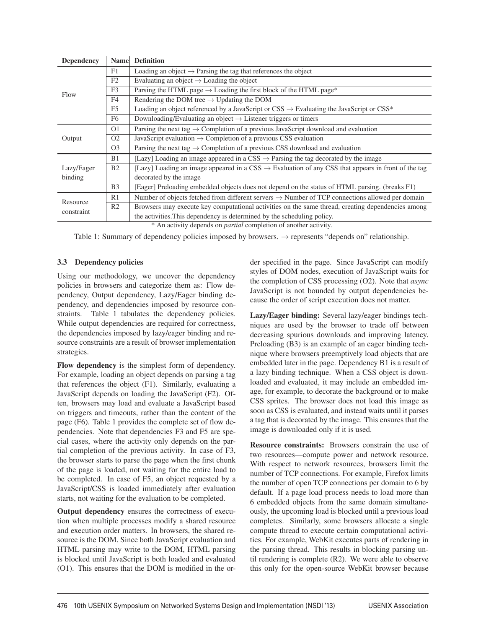| <b>Dependency</b>      | Name           | <b>Definition</b>                                                                                              |  |  |
|------------------------|----------------|----------------------------------------------------------------------------------------------------------------|--|--|
| Flow                   | F1             | Loading an object $\rightarrow$ Parsing the tag that references the object                                     |  |  |
|                        | F2             | Evaluating an object $\rightarrow$ Loading the object                                                          |  |  |
|                        | F <sub>3</sub> | Parsing the HTML page $\rightarrow$ Loading the first block of the HTML page*                                  |  |  |
|                        | F <sub>4</sub> | Rendering the DOM tree $\rightarrow$ Updating the DOM                                                          |  |  |
|                        | F <sub>5</sub> | Loading an object referenced by a JavaScript or $CSS \rightarrow$ Evaluating the JavaScript or $CSS^*$         |  |  |
|                        | F <sub>6</sub> | Downloading/Evaluating an object $\rightarrow$ Listener triggers or timers                                     |  |  |
| Output                 | O <sub>1</sub> | Parsing the next tag $\rightarrow$ Completion of a previous JavaScript download and evaluation                 |  |  |
|                        | O <sub>2</sub> | JavaScript evaluation $\rightarrow$ Completion of a previous CSS evaluation                                    |  |  |
|                        | O <sub>3</sub> | Parsing the next tag $\rightarrow$ Completion of a previous CSS download and evaluation                        |  |  |
| Lazy/Eager<br>binding  | B1             | [Lazy] Loading an image appeared in a CSS $\rightarrow$ Parsing the tag decorated by the image                 |  |  |
|                        | B <sub>2</sub> | [Lazy] Loading an image appeared in a CSS $\rightarrow$ Evaluation of any CSS that appears in front of the tag |  |  |
|                        |                | decorated by the image.                                                                                        |  |  |
|                        | B <sub>3</sub> | [Eager] Preloading embedded objects does not depend on the status of HTML parsing. (breaks F1)                 |  |  |
| Resource<br>constraint | R1             | Number of objects fetched from different servers $\rightarrow$ Number of TCP connections allowed per domain    |  |  |
|                        | R <sub>2</sub> | Browsers may execute key computational activities on the same thread, creating dependencies among              |  |  |
|                        |                | the activities. This dependency is determined by the scheduling policy.                                        |  |  |
|                        |                | * An activity depends on <i>partial</i> completion of another activity                                         |  |  |

An activity depends on *partial* completion of another activity.

Table 1: Summary of dependency policies imposed by browsers.  $\rightarrow$  represents "depends on" relationship.

### 3.3 Dependency policies

Using our methodology, we uncover the dependency policies in browsers and categorize them as: Flow dependency, Output dependency, Lazy/Eager binding dependency, and dependencies imposed by resource constraints. Table 1 tabulates the dependency policies. While output dependencies are required for correctness, the dependencies imposed by lazy/eager binding and resource constraints are a result of browser implementation strategies.

Flow dependency is the simplest form of dependency. For example, loading an object depends on parsing a tag that references the object (F1). Similarly, evaluating a JavaScript depends on loading the JavaScript (F2). Often, browsers may load and evaluate a JavaScript based on triggers and timeouts, rather than the content of the page (F6). Table 1 provides the complete set of flow dependencies. Note that dependencies F3 and F5 are special cases, where the activity only depends on the partial completion of the previous activity. In case of F3, the browser starts to parse the page when the first chunk of the page is loaded, not waiting for the entire load to be completed. In case of F5, an object requested by a JavaScript/CSS is loaded immediately after evaluation starts, not waiting for the evaluation to be completed.

Output dependency ensures the correctness of execution when multiple processes modify a shared resource and execution order matters. In browsers, the shared resource is the DOM. Since both JavaScript evaluation and HTML parsing may write to the DOM, HTML parsing is blocked until JavaScript is both loaded and evaluated (O1). This ensures that the DOM is modified in the order specified in the page. Since JavaScript can modify styles of DOM nodes, execution of JavaScript waits for the completion of CSS processing (O2). Note that *async* JavaScript is not bounded by output dependencies because the order of script execution does not matter.

Lazy/Eager binding: Several lazy/eager bindings techniques are used by the browser to trade off between decreasing spurious downloads and improving latency. Preloading (B3) is an example of an eager binding technique where browsers preemptively load objects that are embedded later in the page. Dependency B1 is a result of a lazy binding technique. When a CSS object is downloaded and evaluated, it may include an embedded image, for example, to decorate the background or to make CSS sprites. The browser does not load this image as soon as CSS is evaluated, and instead waits until it parses a tag that is decorated by the image. This ensures that the image is downloaded only if it is used.

Resource constraints: Browsers constrain the use of two resources—compute power and network resource. With respect to network resources, browsers limit the number of TCP connections. For example, Firefox limits the number of open TCP connections per domain to 6 by default. If a page load process needs to load more than 6 embedded objects from the same domain simultaneously, the upcoming load is blocked until a previous load completes. Similarly, some browsers allocate a single compute thread to execute certain computational activities. For example, WebKit executes parts of rendering in the parsing thread. This results in blocking parsing until rendering is complete (R2). We were able to observe this only for the open-source WebKit browser because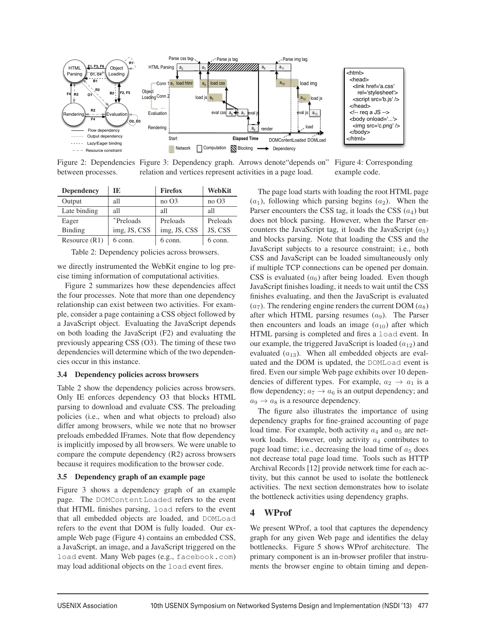

Figure 2: Dependencies Figure 3: Dependency graph. Arrows denote"depends on" between processes. relation and vertices represent activities in a page load. Figure 4: Corresponding example code.

| <b>Dependency</b> | TE.               | <b>Firefox</b>   | WebKit           |
|-------------------|-------------------|------------------|------------------|
| Output            | all               | no <sub>03</sub> | no <sub>03</sub> |
| Late binding      | all               | all              | all              |
| Eager             | <i>*</i> Preloads | Preloads         | Preloads         |
| Binding           | img, JS, CSS      | img, JS, CSS     | JS, CSS          |
| Resource(R1)      | 6 conn.           | 6 conn.          | 6 conn.          |

Table 2: Dependency policies across browsers.

we directly instrumented the WebKit engine to log precise timing information of computational activities.

Figure 2 summarizes how these dependencies affect the four processes. Note that more than one dependency relationship can exist between two activities. For example, consider a page containing a CSS object followed by a JavaScript object. Evaluating the JavaScript depends on both loading the JavaScript (F2) and evaluating the previously appearing CSS (O3). The timing of these two dependencies will determine which of the two dependencies occur in this instance.

#### 3.4 Dependency policies across browsers

Table 2 show the dependency policies across browsers. Only IE enforces dependency O3 that blocks HTML parsing to download and evaluate CSS. The preloading policies (i.e., when and what objects to preload) also differ among browsers, while we note that no browser preloads embedded IFrames. Note that flow dependency is implicitly imposed by all browsers. We were unable to compare the compute dependency (R2) across browsers because it requires modification to the browser code.

#### 3.5 Dependency graph of an example page

Figure 3 shows a dependency graph of an example page. The DOMContentLoaded refers to the event that HTML finishes parsing, load refers to the event that all embedded objects are loaded, and DOMLoad refers to the event that DOM is fully loaded. Our example Web page (Figure 4) contains an embedded CSS, a JavaScript, an image, and a JavaScript triggered on the load event. Many Web pages (e.g., facebook.com) may load additional objects on the load event fires.

The page load starts with loading the root HTML page  $(a_1)$ , following which parsing begins  $(a_2)$ . When the Parser encounters the CSS tag, it loads the CSS  $(a_4)$  but does not block parsing. However, when the Parser encounters the JavaScript tag, it loads the JavaScript  $(a_5)$ and blocks parsing. Note that loading the CSS and the JavaScript subjects to a resource constraint; i.e., both CSS and JavaScript can be loaded simultaneously only if multiple TCP connections can be opened per domain. CSS is evaluated  $(a<sub>6</sub>)$  after being loaded. Even though JavaScript finishes loading, it needs to wait until the CSS finishes evaluating, and then the JavaScript is evaluated  $(a_7)$ . The rendering engine renders the current DOM  $(a_8)$ after which HTML parsing resumes  $(a<sub>9</sub>)$ . The Parser then encounters and loads an image  $(a_{10})$  after which HTML parsing is completed and fires a load event. In our example, the triggered JavaScript is loaded  $(a_{12})$  and evaluated  $(a_{13})$ . When all embedded objects are evaluated and the DOM is updated, the DOMLoad event is fired. Even our simple Web page exhibits over 10 dependencies of different types. For example,  $a_2 \rightarrow a_1$  is a flow dependency;  $a_7 \rightarrow a_6$  is an output dependency; and  $a_9 \rightarrow a_8$  is a resource dependency.

The figure also illustrates the importance of using dependency graphs for fine-grained accounting of page load time. For example, both activity  $a_4$  and  $a_5$  are network loads. However, only activity  $a_4$  contributes to page load time; i.e., decreasing the load time of  $a_5$  does not decrease total page load time. Tools such as HTTP Archival Records [12] provide network time for each activity, but this cannot be used to isolate the bottleneck activities. The next section demonstrates how to isolate the bottleneck activities using dependency graphs.

# 4 WProf

5

We present WProf, a tool that captures the dependency graph for any given Web page and identifies the delay bottlenecks. Figure 5 shows WProf architecture. The primary component is an in-browser profiler that instruments the browser engine to obtain timing and depen-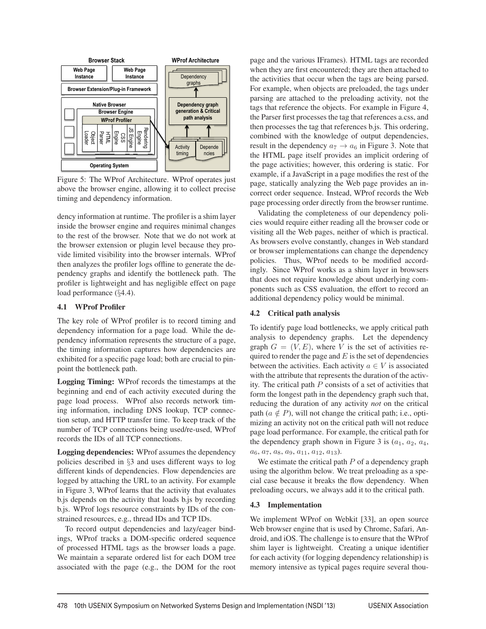

Figure 5: The WProf Architecture. WProf operates just above the browser engine, allowing it to collect precise timing and dependency information.

dency information at runtime. The profiler is a shim layer inside the browser engine and requires minimal changes to the rest of the browser. Note that we do not work at the browser extension or plugin level because they provide limited visibility into the browser internals. WProf then analyzes the profiler logs offline to generate the dependency graphs and identify the bottleneck path. The profiler is lightweight and has negligible effect on page load performance (§4.4).

#### 4.1 WProf Profiler

The key role of WProf profiler is to record timing and dependency information for a page load. While the dependency information represents the structure of a page, the timing information captures how dependencies are exhibited for a specific page load; both are crucial to pinpoint the bottleneck path.

Logging Timing: WProf records the timestamps at the beginning and end of each activity executed during the page load process. WProf also records network timing information, including DNS lookup, TCP connection setup, and HTTP transfer time. To keep track of the number of TCP connections being used/re-used, WProf records the IDs of all TCP connections.

Logging dependencies: WProf assumes the dependency policies described in §3 and uses different ways to log different kinds of dependencies. Flow dependencies are logged by attaching the URL to an activity. For example in Figure 3, WProf learns that the activity that evaluates b.js depends on the activity that loads b.js by recording b.js. WProf logs resource constraints by IDs of the constrained resources, e.g., thread IDs and TCP IDs.

To record output dependencies and lazy/eager bindings, WProf tracks a DOM-specific ordered sequence of processed HTML tags as the browser loads a page. We maintain a separate ordered list for each DOM tree associated with the page (e.g., the DOM for the root page and the various IFrames). HTML tags are recorded when they are first encountered; they are then attached to the activities that occur when the tags are being parsed. For example, when objects are preloaded, the tags under parsing are attached to the preloading activity, not the tags that reference the objects. For example in Figure 4, the Parser first processes the tag that references a.css, and then processes the tag that references b.js. This ordering, combined with the knowledge of output dependencies, result in the dependency  $a_7 \rightarrow a_6$  in Figure 3. Note that the HTML page itself provides an implicit ordering of the page activities; however, this ordering is static. For example, if a JavaScript in a page modifies the rest of the page, statically analyzing the Web page provides an incorrect order sequence. Instead, WProf records the Web page processing order directly from the browser runtime.

Validating the completeness of our dependency policies would require either reading all the browser code or visiting all the Web pages, neither of which is practical. As browsers evolve constantly, changes in Web standard or browser implementations can change the dependency policies. Thus, WProf needs to be modified accordingly. Since WProf works as a shim layer in browsers that does not require knowledge about underlying components such as CSS evaluation, the effort to record an additional dependency policy would be minimal.

### 4.2 Critical path analysis

To identify page load bottlenecks, we apply critical path analysis to dependency graphs. Let the dependency graph  $G = (V, E)$ , where V is the set of activities required to render the page and  $E$  is the set of dependencies between the activities. Each activity  $a \in V$  is associated with the attribute that represents the duration of the activity. The critical path  $P$  consists of a set of activities that form the longest path in the dependency graph such that, reducing the duration of any activity *not* on the critical path ( $a \notin P$ ), will not change the critical path; i.e., optimizing an activity not on the critical path will not reduce page load performance. For example, the critical path for the dependency graph shown in Figure 3 is  $(a_1, a_2, a_4, a_5)$  $a_6, a_7, a_8, a_9, a_{11}, a_{12}, a_{13}.$ 

We estimate the critical path  $P$  of a dependency graph using the algorithm below. We treat preloading as a special case because it breaks the flow dependency. When preloading occurs, we always add it to the critical path.

### 4.3 Implementation

We implement WProf on Webkit [33], an open source Web browser engine that is used by Chrome, Safari, Android, and iOS. The challenge is to ensure that the WProf shim layer is lightweight. Creating a unique identifier for each activity (for logging dependency relationship) is memory intensive as typical pages require several thou-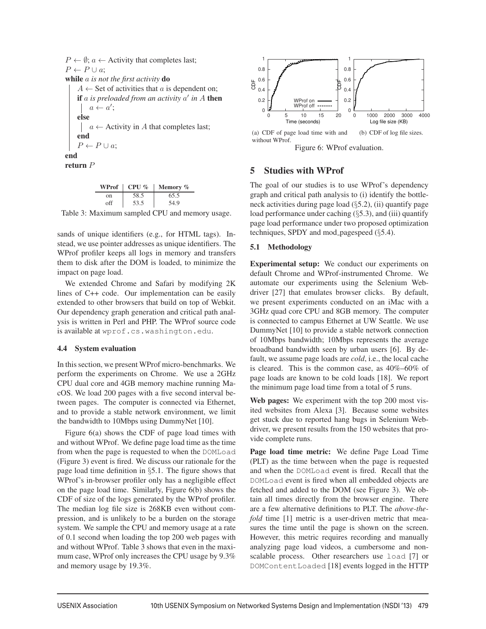$P \leftarrow \emptyset$ ;  $a \leftarrow$  Activity that completes last;  $P \leftarrow P \cup a$ ; while a *is not the first activity* do  $A \leftarrow$  Set of activities that a is dependent on; if  $\alpha$  *is preloaded from an activity*  $\alpha'$  *in*  $A$  then  $a \leftarrow a';$ else  $a \leftarrow$  Activity in A that completes last;  $\overline{\phantom{a}}$ end  $P \leftarrow P \cup a$ ; end return P

|     | WProf $\mid$ CPU % | Memory $\%$ |
|-----|--------------------|-------------|
| on  | 58.5               | 65.5        |
| ∩ff | 53.5               | 54.9        |

Table 3: Maximum sampled CPU and memory usage.

sands of unique identifiers (e.g., for HTML tags). Instead, we use pointer addresses as unique identifiers. The WProf profiler keeps all logs in memory and transfers them to disk after the DOM is loaded, to minimize the impact on page load.

We extended Chrome and Safari by modifying 2K lines of C++ code. Our implementation can be easily extended to other browsers that build on top of Webkit. Our dependency graph generation and critical path analysis is written in Perl and PHP. The WProf source code is available at wprof.cs.washington.edu.

### 4.4 System evaluation

In this section, we present WProf micro-benchmarks. We perform the experiments on Chrome. We use a 2GHz CPU dual core and 4GB memory machine running MacOS. We load 200 pages with a five second interval between pages. The computer is connected via Ethernet, and to provide a stable network environment, we limit the bandwidth to 10Mbps using DummyNet [10].

Figure 6(a) shows the CDF of page load times with and without WProf. We define page load time as the time from when the page is requested to when the DOMLoad (Figure 3) event is fired. We discuss our rationale for the page load time definition in §5.1. The figure shows that WProf's in-browser profiler only has a negligible effect on the page load time. Similarly, Figure 6(b) shows the CDF of size of the logs generated by the WProf profiler. The median log file size is 268KB even without compression, and is unlikely to be a burden on the storage system. We sample the CPU and memory usage at a rate of 0.1 second when loading the top 200 web pages with and without WProf. Table 3 shows that even in the maximum case, WProf only increases the CPU usage by 9.3% and memory usage by 19.3%.



# 5 Studies with WProf

The goal of our studies is to use WProf's dependency graph and critical path analysis to (i) identify the bottleneck activities during page load (§5.2), (ii) quantify page load performance under caching (§5.3), and (iii) quantify page load performance under two proposed optimization techniques, SPDY and mod\_pagespeed  $(\S 5.4)$ .

### 5.1 Methodology

Experimental setup: We conduct our experiments on default Chrome and WProf-instrumented Chrome. We automate our experiments using the Selenium Webdriver [27] that emulates browser clicks. By default, we present experiments conducted on an iMac with a 3GHz quad core CPU and 8GB memory. The computer is connected to campus Ethernet at UW Seattle. We use DummyNet [10] to provide a stable network connection of 10Mbps bandwidth; 10Mbps represents the average broadband bandwidth seen by urban users [6]. By default, we assume page loads are *cold*, i.e., the local cache is cleared. This is the common case, as 40%–60% of page loads are known to be cold loads [18]. We report the minimum page load time from a total of 5 runs.

Web pages: We experiment with the top 200 most visited websites from Alexa [3]. Because some websites get stuck due to reported hang bugs in Selenium Webdriver, we present results from the 150 websites that provide complete runs.

Page load time metric: We define Page Load Time (PLT) as the time between when the page is requested and when the DOMLoad event is fired. Recall that the DOMLoad event is fired when all embedded objects are fetched and added to the DOM (see Figure 3). We obtain all times directly from the browser engine. There are a few alternative definitions to PLT. The *above-thefold* time [1] metric is a user-driven metric that measures the time until the page is shown on the screen. However, this metric requires recording and manually analyzing page load videos, a cumbersome and nonscalable process. Other researchers use load [7] or DOMContentLoaded [18] events logged in the HTTP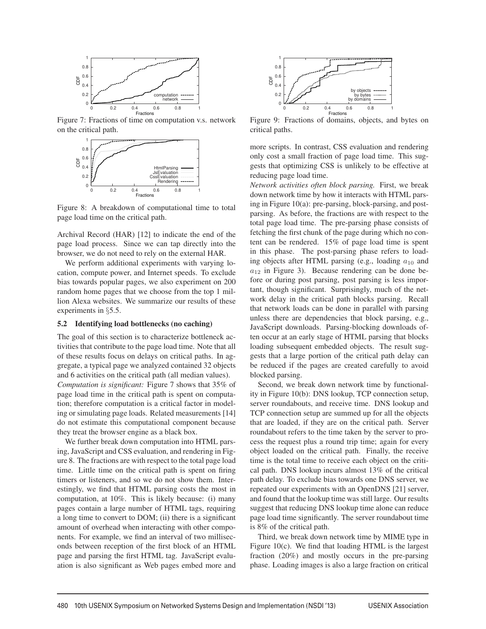

Figure 7: Fractions of time on computation v.s. network on the critical path.



Figure 8: A breakdown of computational time to total page load time on the critical path.

Archival Record (HAR) [12] to indicate the end of the page load process. Since we can tap directly into the browser, we do not need to rely on the external HAR.

We perform additional experiments with varying location, compute power, and Internet speeds. To exclude bias towards popular pages, we also experiment on 200 random home pages that we choose from the top 1 million Alexa websites. We summarize our results of these experiments in §5.5.

#### 5.2 Identifying load bottlenecks (no caching)

The goal of this section is to characterize bottleneck activities that contribute to the page load time. Note that all of these results focus on delays on critical paths. In aggregate, a typical page we analyzed contained 32 objects and 6 activities on the critical path (all median values). *Computation is significant:* Figure 7 shows that 35% of page load time in the critical path is spent on computation; therefore computation is a critical factor in modeling or simulating page loads. Related measurements [14] do not estimate this computational component because they treat the browser engine as a black box.

We further break down computation into HTML parsing, JavaScript and CSS evaluation, and rendering in Figure 8. The fractions are with respect to the total page load time. Little time on the critical path is spent on firing timers or listeners, and so we do not show them. Interestingly, we find that HTML parsing costs the most in computation, at 10%. This is likely because: (i) many pages contain a large number of HTML tags, requiring a long time to convert to DOM; (ii) there is a significant amount of overhead when interacting with other components. For example, we find an interval of two milliseconds between reception of the first block of an HTML page and parsing the first HTML tag. JavaScript evaluation is also significant as Web pages embed more and



Figure 9: Fractions of domains, objects, and bytes on critical paths.

more scripts. In contrast, CSS evaluation and rendering only cost a small fraction of page load time. This suggests that optimizing CSS is unlikely to be effective at reducing page load time.

*Network activities often block parsing.* First, we break down network time by how it interacts with HTML parsing in Figure 10(a): pre-parsing, block-parsing, and postparsing. As before, the fractions are with respect to the total page load time. The pre-parsing phase consists of fetching the first chunk of the page during which no content can be rendered. 15% of page load time is spent in this phase. The post-parsing phase refers to loading objects after HTML parsing (e.g., loading  $a_{10}$  and  $a_{12}$  in Figure 3). Because rendering can be done before or during post parsing, post parsing is less important, though significant. Surprisingly, much of the network delay in the critical path blocks parsing. Recall that network loads can be done in parallel with parsing unless there are dependencies that block parsing, e.g., JavaScript downloads. Parsing-blocking downloads often occur at an early stage of HTML parsing that blocks loading subsequent embedded objects. The result suggests that a large portion of the critical path delay can be reduced if the pages are created carefully to avoid blocked parsing.

Second, we break down network time by functionality in Figure 10(b): DNS lookup, TCP connection setup, server roundabouts, and receive time. DNS lookup and TCP connection setup are summed up for all the objects that are loaded, if they are on the critical path. Server roundabout refers to the time taken by the server to process the request plus a round trip time; again for every object loaded on the critical path. Finally, the receive time is the total time to receive each object on the critical path. DNS lookup incurs almost 13% of the critical path delay. To exclude bias towards one DNS server, we repeated our experiments with an OpenDNS [21] server, and found that the lookup time was still large. Our results suggest that reducing DNS lookup time alone can reduce page load time significantly. The server roundabout time is 8% of the critical path.

Third, we break down network time by MIME type in Figure 10(c). We find that loading HTML is the largest fraction (20%) and mostly occurs in the pre-parsing phase. Loading images is also a large fraction on critical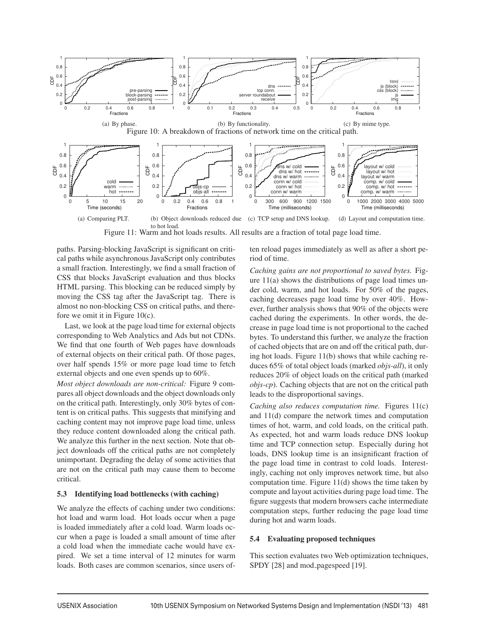

Figure 11: Warm and hot loads results. All results are a fraction of total page load time.

paths. Parsing-blocking JavaScript is significant on critical paths while asynchronous JavaScript only contributes a small fraction. Interestingly, we find a small fraction of CSS that blocks JavaScript evaluation and thus blocks HTML parsing. This blocking can be reduced simply by moving the CSS tag after the JavaScript tag. There is almost no non-blocking CSS on critical paths, and therefore we omit it in Figure 10(c).

Last, we look at the page load time for external objects corresponding to Web Analytics and Ads but not CDNs. We find that one fourth of Web pages have downloads of external objects on their critical path. Of those pages, over half spends 15% or more page load time to fetch external objects and one even spends up to 60%.

*Most object downloads are non-critical:* Figure 9 compares all object downloads and the object downloads only on the critical path. Interestingly, only 30% bytes of content is on critical paths. This suggests that minifying and caching content may not improve page load time, unless they reduce content downloaded along the critical path. We analyze this further in the next section. Note that object downloads off the critical paths are not completely unimportant. Degrading the delay of some activities that are not on the critical path may cause them to become critical.

#### 5.3 Identifying load bottlenecks (with caching)

We analyze the effects of caching under two conditions: hot load and warm load. Hot loads occur when a page is loaded immediately after a cold load. Warm loads occur when a page is loaded a small amount of time after a cold load when the immediate cache would have expired. We set a time interval of 12 minutes for warm loads. Both cases are common scenarios, since users often reload pages immediately as well as after a short period of time.

*Caching gains are not proportional to saved bytes.* Figure 11(a) shows the distributions of page load times under cold, warm, and hot loads. For 50% of the pages, caching decreases page load time by over 40%. However, further analysis shows that 90% of the objects were cached during the experiments. In other words, the decrease in page load time is not proportional to the cached bytes. To understand this further, we analyze the fraction of cached objects that are on and off the critical path, during hot loads. Figure 11(b) shows that while caching reduces 65% of total object loads (marked *objs-all*), it only reduces 20% of object loads on the critical path (marked *objs-cp*). Caching objects that are not on the critical path leads to the disproportional savings.

*Caching also reduces computation time.* Figures 11(c) and 11(d) compare the network times and computation times of hot, warm, and cold loads, on the critical path. As expected, hot and warm loads reduce DNS lookup time and TCP connection setup. Especially during hot loads, DNS lookup time is an insignificant fraction of the page load time in contrast to cold loads. Interestingly, caching not only improves network time, but also computation time. Figure 11(d) shows the time taken by compute and layout activities during page load time. The figure suggests that modern browsers cache intermediate computation steps, further reducing the page load time during hot and warm loads.

#### 5.4 Evaluating proposed techniques

This section evaluates two Web optimization techniques, SPDY [28] and mod\_pagespeed [19].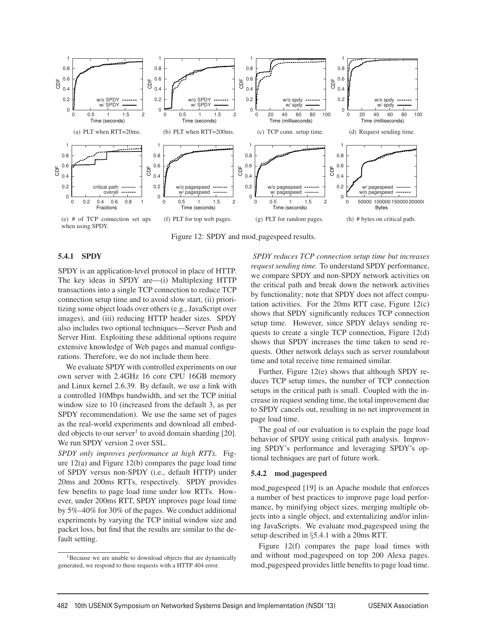

Figure 12: SPDY and mod\_pagespeed results.

#### 5.4.1 SPDY

SPDY is an application-level protocol in place of HTTP. The key ideas in SPDY are—(i) Multiplexing HTTP transactions into a single TCP connection to reduce TCP connection setup time and to avoid slow start, (ii) prioritizing some object loads over others (e.g., JavaScript over images), and (iii) reducing HTTP header sizes. SPDY also includes two optional techniques—Server Push and Server Hint. Exploiting these additional options require extensive knowledge of Web pages and manual configurations. Therefore, we do not include them here.

We evaluate SPDY with controlled experiments on our own server with 2.4GHz 16 core CPU 16GB memory and Linux kernel 2.6.39. By default, we use a link with a controlled 10Mbps bandwidth, and set the TCP initial window size to 10 (increased from the default 3, as per SPDY recommendation). We use the same set of pages as the real-world experiments and download all embedded objects to our server<sup>1</sup> to avoid domain sharding [20]. We run SPDY version 2 over SSL.

*SPDY only improves performance at high RTTs.* Figure 12(a) and Figure 12(b) compares the page load time of SPDY versus non-SPDY (i.e., default HTTP) under 20ms and 200ms RTTs, respectively. SPDY provides few benefits to page load time under low RTTs. However, under 200ms RTT, SPDY improves page load time by 5%–40% for 30% of the pages. We conduct additional experiments by varying the TCP initial window size and packet loss, but find that the results are similar to the default setting.

*SPDY reduces TCP connection setup time but increases request sending time.* To understand SPDY performance, we compare SPDY and non-SPDY network activities on the critical path and break down the network activities by functionality; note that SPDY does not affect computation activities. For the 20ms RTT case, Figure 12(c) shows that SPDY significantly reduces TCP connection setup time. However, since SPDY delays sending requests to create a single TCP connection, Figure 12(d) shows that SPDY increases the time taken to send requests. Other network delays such as server roundabout time and total receive time remained similar.

Further, Figure 12(e) shows that although SPDY reduces TCP setup times, the number of TCP connection setups in the critical path is small. Coupled with the increase in request sending time, the total improvement due to SPDY cancels out, resulting in no net improvement in page load time.

The goal of our evaluation is to explain the page load behavior of SPDY using critical path analysis. Improving SPDY's performance and leveraging SPDY's optional techniques are part of future work.

#### 5.4.2 mod pagespeed

mod pagespeed [19] is an Apache module that enforces a number of best practices to improve page load performance, by minifying object sizes, merging multiple objects into a single object, and externalizing and/or inlining JavaScripts. We evaluate mod pagespeed using the setup described in §5.4.1 with a 20ms RTT.

Figure 12(f) compares the page load times with and without mod pagespeed on top 200 Alexa pages. mod pagespeed provides little benefits to page load time.

<sup>&</sup>lt;sup>1</sup>Because we are unable to download objects that are dynamically generated, we respond to these requests with a HTTP 404 error.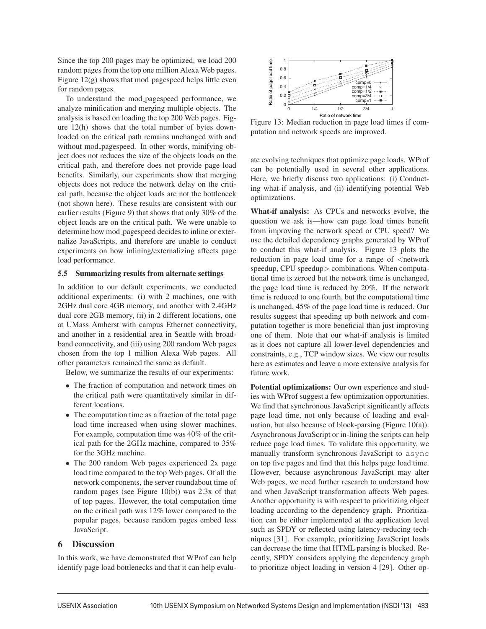Since the top 200 pages may be optimized, we load 200 random pages from the top one million Alexa Web pages. Figure  $12(g)$  shows that mod pagespeed helps little even for random pages.

To understand the mod pagespeed performance, we analyze minification and merging multiple objects. The analysis is based on loading the top 200 Web pages. Figure 12(h) shows that the total number of bytes downloaded on the critical path remains unchanged with and without mod pagespeed. In other words, minifying object does not reduces the size of the objects loads on the critical path, and therefore does not provide page load benefits. Similarly, our experiments show that merging objects does not reduce the network delay on the critical path, because the object loads are not the bottleneck (not shown here). These results are consistent with our earlier results (Figure 9) that shows that only 30% of the object loads are on the critical path. We were unable to determine how mod pagespeed decides to inline or externalize JavaScripts, and therefore are unable to conduct experiments on how inlining/externalizing affects page load performance.

#### 5.5 Summarizing results from alternate settings

In addition to our default experiments, we conducted additional experiments: (i) with 2 machines, one with 2GHz dual core 4GB memory, and another with 2.4GHz dual core 2GB memory, (ii) in 2 different locations, one at UMass Amherst with campus Ethernet connectivity, and another in a residential area in Seattle with broadband connectivity, and (iii) using 200 random Web pages chosen from the top 1 million Alexa Web pages. All other parameters remained the same as default.

Below, we summarize the results of our experiments:

- The fraction of computation and network times on the critical path were quantitatively similar in different locations.
- The computation time as a fraction of the total page load time increased when using slower machines. For example, computation time was 40% of the critical path for the 2GHz machine, compared to 35% for the 3GHz machine.
- The 200 random Web pages experienced 2x page load time compared to the top Web pages. Of all the network components, the server roundabout time of random pages (see Figure 10(b)) was 2.3x of that of top pages. However, the total computation time on the critical path was 12% lower compared to the popular pages, because random pages embed less JavaScript.

# 6 Discussion

In this work, we have demonstrated that WProf can help identify page load bottlenecks and that it can help evalu-



Figure 13: Median reduction in page load times if computation and network speeds are improved.

ate evolving techniques that optimize page loads. WProf can be potentially used in several other applications. Here, we briefly discuss two applications: (i) Conducting what-if analysis, and (ii) identifying potential Web optimizations.

What-if analysis: As CPUs and networks evolve, the question we ask is—how can page load times benefit from improving the network speed or CPU speed? We use the detailed dependency graphs generated by WProf to conduct this what-if analysis. Figure 13 plots the reduction in page load time for a range of  $\leq$ network speedup, CPU speedup> combinations. When computational time is zeroed but the network time is unchanged, the page load time is reduced by 20%. If the network time is reduced to one fourth, but the computational time is unchanged, 45% of the page load time is reduced. Our results suggest that speeding up both network and computation together is more beneficial than just improving one of them. Note that our what-if analysis is limited as it does not capture all lower-level dependencies and constraints, e.g., TCP window sizes. We view our results here as estimates and leave a more extensive analysis for future work.

Potential optimizations: Our own experience and studies with WProf suggest a few optimization opportunities. We find that synchronous JavaScript significantly affects page load time, not only because of loading and evaluation, but also because of block-parsing (Figure 10(a)). Asynchronous JavaScript or in-lining the scripts can help reduce page load times. To validate this opportunity, we manually transform synchronous JavaScript to async on top five pages and find that this helps page load time. However, because asynchronous JavaScript may alter Web pages, we need further research to understand how and when JavaScript transformation affects Web pages. Another opportunity is with respect to prioritizing object loading according to the dependency graph. Prioritization can be either implemented at the application level such as SPDY or reflected using latency-reducing techniques [31]. For example, prioritizing JavaScript loads can decrease the time that HTML parsing is blocked. Recently, SPDY considers applying the dependency graph to prioritize object loading in version 4 [29]. Other op-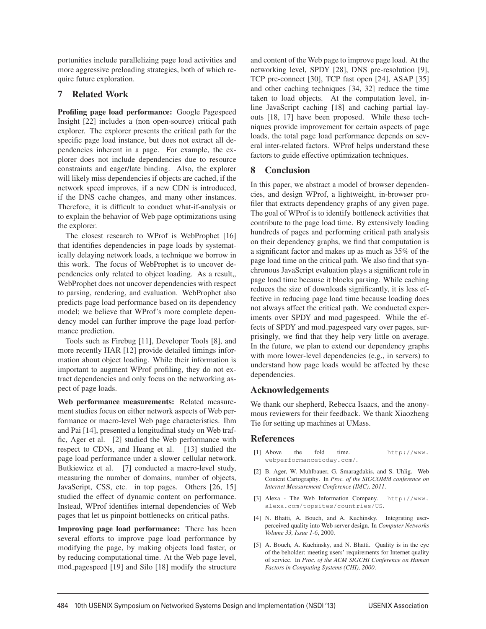portunities include parallelizing page load activities and more aggressive preloading strategies, both of which require future exploration.

# 7 Related Work

Profiling page load performance: Google Pagespeed Insight [22] includes a (non open-source) critical path explorer. The explorer presents the critical path for the specific page load instance, but does not extract all dependencies inherent in a page. For example, the explorer does not include dependencies due to resource constraints and eager/late binding. Also, the explorer will likely miss dependencies if objects are cached, if the network speed improves, if a new CDN is introduced, if the DNS cache changes, and many other instances. Therefore, it is difficult to conduct what-if-analysis or to explain the behavior of Web page optimizations using the explorer.

The closest research to WProf is WebProphet [16] that identifies dependencies in page loads by systematically delaying network loads, a technique we borrow in this work. The focus of WebProphet is to uncover dependencies only related to object loading. As a result,, WebProphet does not uncover dependencies with respect to parsing, rendering, and evaluation. WebProphet also predicts page load performance based on its dependency model; we believe that WProf's more complete dependency model can further improve the page load performance prediction.

Tools such as Firebug [11], Developer Tools [8], and more recently HAR [12] provide detailed timings information about object loading. While their information is important to augment WProf profiling, they do not extract dependencies and only focus on the networking aspect of page loads.

Web performance measurements: Related measurement studies focus on either network aspects of Web performance or macro-level Web page characteristics. Ihm and Pai [14], presented a longitudinal study on Web traffic, Ager et al. [2] studied the Web performance with respect to CDNs, and Huang et al. [13] studied the page load performance under a slower cellular network. Butkiewicz et al. [7] conducted a macro-level study, measuring the number of domains, number of objects, JavaScript, CSS, etc. in top pages. Others [26, 15] studied the effect of dynamic content on performance. Instead, WProf identifies internal dependencies of Web pages that let us pinpoint bottlenecks on critical paths.

Improving page load performance: There has been several efforts to improve page load performance by modifying the page, by making objects load faster, or by reducing computational time. At the Web page level, mod pagespeed [19] and Silo [18] modify the structure

and content of the Web page to improve page load. At the networking level, SPDY [28], DNS pre-resolution [9], TCP pre-connect [30], TCP fast open [24], ASAP [35] and other caching techniques [34, 32] reduce the time taken to load objects. At the computation level, inline JavaScript caching [18] and caching partial layouts [18, 17] have been proposed. While these techniques provide improvement for certain aspects of page loads, the total page load performance depends on several inter-related factors. WProf helps understand these factors to guide effective optimization techniques.

# 8 Conclusion

In this paper, we abstract a model of browser dependencies, and design WProf, a lightweight, in-browser profiler that extracts dependency graphs of any given page. The goal of WProf is to identify bottleneck activities that contribute to the page load time. By extensively loading hundreds of pages and performing critical path analysis on their dependency graphs, we find that computation is a significant factor and makes up as much as 35% of the page load time on the critical path. We also find that synchronous JavaScript evaluation plays a significant role in page load time because it blocks parsing. While caching reduces the size of downloads significantly, it is less effective in reducing page load time because loading does not always affect the critical path. We conducted experiments over SPDY and mod pagespeed. While the effects of SPDY and mod pagespeed vary over pages, surprisingly, we find that they help very little on average. In the future, we plan to extend our dependency graphs with more lower-level dependencies (e.g., in servers) to understand how page loads would be affected by these dependencies.

# Acknowledgements

We thank our shepherd, Rebecca Isaacs, and the anonymous reviewers for their feedback. We thank Xiaozheng Tie for setting up machines at UMass.

# References

- [1] Above the fold time. http://www. webperformancetoday.com/.
- [2] B. Ager, W. Muhlbauer, G. Smaragdakis, and S. Uhlig. Web Content Cartography. In *Proc. of the SIGCOMM conference on Internet Measurement Conference (IMC), 2011*.
- [3] Alexa The Web Information Company. http://www. alexa.com/topsites/countries/US.
- [4] N. Bhatti, A. Bouch, and A. Kuchinsky. Integrating userperceived quality into Web server design. In *Computer Networks Volume 33, Issue 1-6*, 2000.
- [5] A. Bouch, A. Kuchinsky, and N. Bhatti. Quality is in the eye of the beholder: meeting users' requirements for Internet quality of service. In *Proc. of the ACM SIGCHI Conference on Human Factors in Computing Systems (CHI), 2000*.

 $\overline{a}$